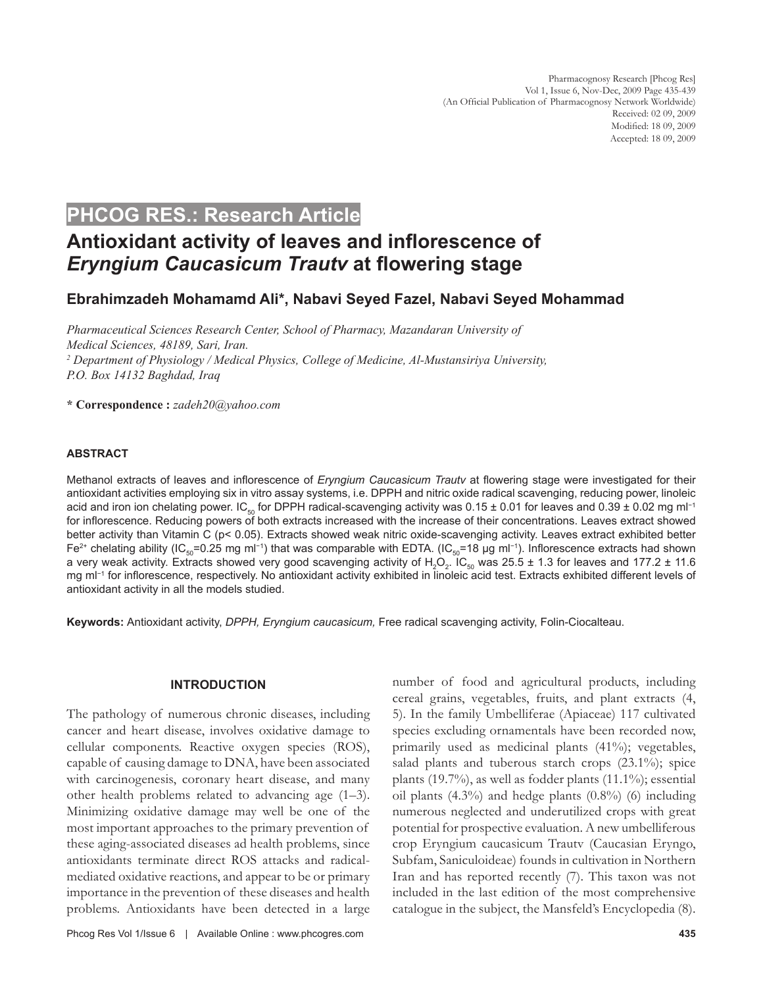## **PHCOG RES.: Research Article**

# **Antioxidant activity of leaves and inflorescence of**  *Eryngium Caucasicum Trautv* **at flowering stage**

## **Ebrahimzadeh Mohamamd Ali\*, Nabavi Seyed Fazel, Nabavi Seyed Mohammad**

*Pharmaceutical Sciences Research Center, School of Pharmacy, Mazandaran University of Medical Sciences, 48189, Sari, Iran. 2 Department of Physiology / Medical Physics, College of Medicine, Al-Mustansiriya University, P.O. Box 14132 Baghdad, Iraq*

**\* Correspondence :** *zadeh20@yahoo.com*

## **ABSTRACT**

Methanol extracts of leaves and inflorescence of *Eryngium Caucasicum Trautv* at flowering stage were investigated for their antioxidant activities employing six in vitro assay systems, i.e. DPPH and nitric oxide radical scavenging, reducing power, linoleic acid and iron ion chelating power. IC<sub>50</sub> for DPPH radical-scavenging activity was 0.15 ± 0.01 for leaves and 0.39 ± 0.02 mg ml<sup>-1</sup> for inflorescence. Reducing powers of both extracts increased with the increase of their concentrations. Leaves extract showed better activity than Vitamin C (p< 0.05). Extracts showed weak nitric oxide-scavenging activity. Leaves extract exhibited better Fe<sup>2+</sup> chelating ability (IC<sub>50</sub>=0.25 mg ml<sup>-1</sup>) that was comparable with EDTA. (IC<sub>50</sub>=18 µg ml<sup>-1</sup>). Inflorescence extracts had shown a very weak activity. Extracts showed very good scavenging activity of  $H_2O_2$ . IC<sub>50</sub> was 25.5 ± 1.3 for leaves and 177.2 ± 11.6 mg ml−1 for inflorescence, respectively. No antioxidant activity exhibited in linoleic acid test. Extracts exhibited different levels of antioxidant activity in all the models studied.

**Keywords:** Antioxidant activity, *DPPH, Eryngium caucasicum,* Free radical scavenging activity, Folin-Ciocalteau.

## **INTRODUCTION**

The pathology of numerous chronic diseases, including cancer and heart disease, involves oxidative damage to cellular components. Reactive oxygen species (ROS), capable of causing damage to DNA, have been associated with carcinogenesis, coronary heart disease, and many other health problems related to advancing age (1–3). Minimizing oxidative damage may well be one of the most important approaches to the primary prevention of these aging-associated diseases ad health problems, since antioxidants terminate direct ROS attacks and radicalmediated oxidative reactions, and appear to be or primary importance in the prevention of these diseases and health problems. Antioxidants have been detected in a large

number of food and agricultural products, including cereal grains, vegetables, fruits, and plant extracts (4, 5). In the family Umbelliferae (Apiaceae) 117 cultivated species excluding ornamentals have been recorded now, primarily used as medicinal plants (41%); vegetables, salad plants and tuberous starch crops (23.1%); spice plants (19.7%), as well as fodder plants (11.1%); essential oil plants (4.3%) and hedge plants (0.8%) (6) including numerous neglected and underutilized crops with great potential for prospective evaluation. A new umbelliferous crop Eryngium caucasicum Trautv (Caucasian Eryngo, Subfam, Saniculoideae) founds in cultivation in Northern Iran and has reported recently (7). This taxon was not included in the last edition of the most comprehensive catalogue in the subject, the Mansfeld's Encyclopedia (8).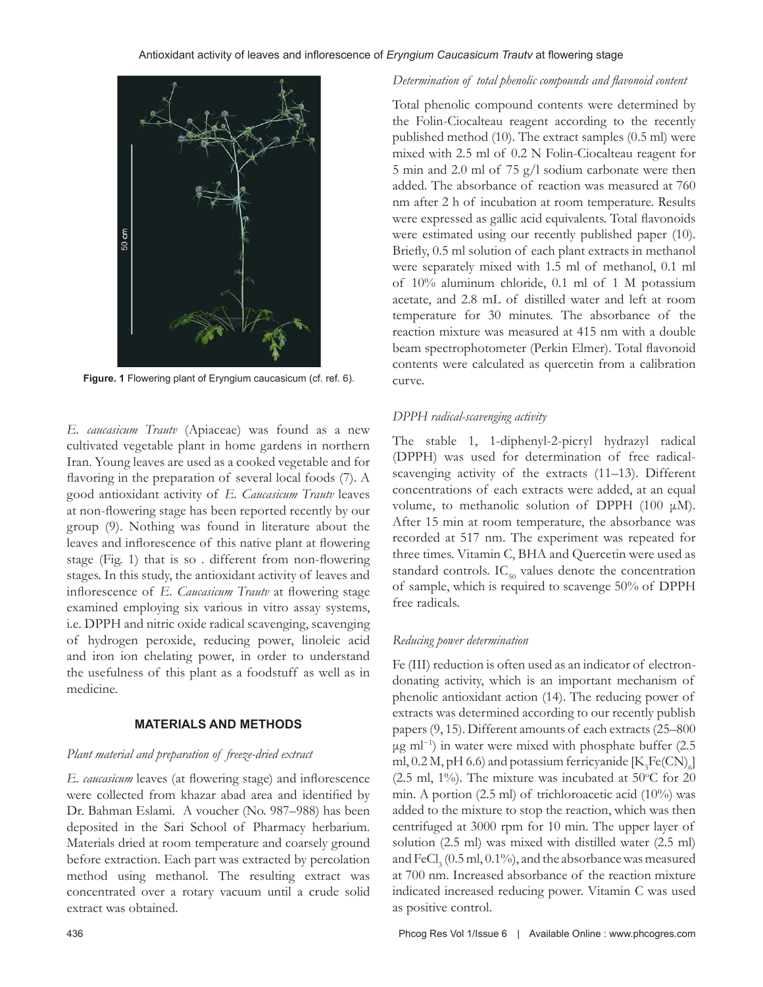

**Figure. 1** Flowering plant of Eryngium caucasicum (cf. ref. 6).

*E. caucasicum Trautv* (Apiaceae) was found as a new cultivated vegetable plant in home gardens in northern Iran. Young leaves are used as a cooked vegetable and for flavoring in the preparation of several local foods (7). A good antioxidant activity of *E. Caucasicum Trautv* leaves at non-flowering stage has been reported recently by our group (9). Nothing was found in literature about the leaves and inflorescence of this native plant at flowering stage (Fig. 1) that is so . different from non-flowering stages. In this study, the antioxidant activity of leaves and inflorescence of *E. Caucasicum Trautv* at flowering stage examined employing six various in vitro assay systems, i.e. DPPH and nitric oxide radical scavenging, scavenging of hydrogen peroxide, reducing power, linoleic acid and iron ion chelating power, in order to understand the usefulness of this plant as a foodstuff as well as in medicine.

## **MATERIALS AND METHODS**

## *Plant material and preparation of freeze-dried extract*

*E. caucasicum* leaves (at flowering stage) and inflorescence were collected from khazar abad area and identified by Dr. Bahman Eslami. A voucher (No. 987–988) has been deposited in the Sari School of Pharmacy herbarium. Materials dried at room temperature and coarsely ground before extraction. Each part was extracted by percolation method using methanol. The resulting extract was concentrated over a rotary vacuum until a crude solid extract was obtained.

Total phenolic compound contents were determined by the Folin-Ciocalteau reagent according to the recently published method (10). The extract samples (0.5 ml) were mixed with 2.5 ml of 0.2 N Folin-Ciocalteau reagent for 5 min and 2.0 ml of 75 g/l sodium carbonate were then added. The absorbance of reaction was measured at 760 nm after 2 h of incubation at room temperature. Results were expressed as gallic acid equivalents. Total flavonoids were estimated using our recently published paper (10). Briefly, 0.5 ml solution of each plant extracts in methanol were separately mixed with 1.5 ml of methanol, 0.1 ml of 10% aluminum chloride, 0.1 ml of 1 M potassium acetate, and 2.8 mL of distilled water and left at room temperature for 30 minutes. The absorbance of the reaction mixture was measured at 415 nm with a double beam spectrophotometer (Perkin Elmer). Total flavonoid contents were calculated as quercetin from a calibration curve.

## *DPPH radical-scavenging activity*

The stable 1, 1-diphenyl-2-picryl hydrazyl radical (DPPH) was used for determination of free radicalscavenging activity of the extracts (11–13). Different concentrations of each extracts were added, at an equal volume, to methanolic solution of DPPH (100 μM). After 15 min at room temperature, the absorbance was recorded at 517 nm. The experiment was repeated for three times. Vitamin C, BHA and Quercetin were used as standard controls.  $IC_{50}$  values denote the concentration of sample, which is required to scavenge 50% of DPPH free radicals.

## *Reducing power determination*

Fe (III) reduction is often used as an indicator of electrondonating activity, which is an important mechanism of phenolic antioxidant action (14). The reducing power of extracts was determined according to our recently publish papers (9, 15). Different amounts of each extracts (25–800 μg ml−1) in water were mixed with phosphate buffer (2.5 ml, 0.2 M, pH 6.6) and potassium ferricyanide  $\text{[K}_{3}\text{Fe(CN)}_{6}\text{]}$ (2.5 ml, 1%). The mixture was incubated at 50 $\mathrm{^{\circ}C}$  for 20 min. A portion (2.5 ml) of trichloroacetic acid (10%) was added to the mixture to stop the reaction, which was then centrifuged at 3000 rpm for 10 min. The upper layer of solution (2.5 ml) was mixed with distilled water (2.5 ml) and  $\rm{FeCl}_{3}$  (0.5 ml, 0.1%), and the absorbance was measured at 700 nm. Increased absorbance of the reaction mixture indicated increased reducing power. Vitamin C was used as positive control.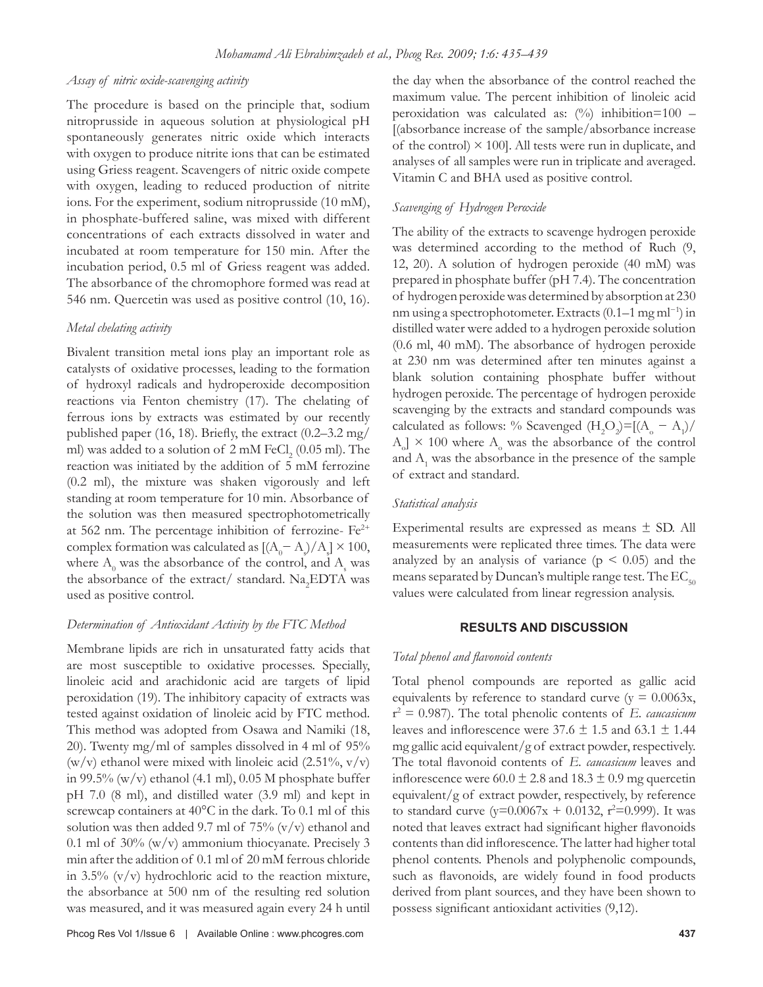#### *Assay of nitric oxide-scavenging activity*

The procedure is based on the principle that, sodium nitroprusside in aqueous solution at physiological pH spontaneously generates nitric oxide which interacts with oxygen to produce nitrite ions that can be estimated using Griess reagent. Scavengers of nitric oxide compete with oxygen, leading to reduced production of nitrite ions. For the experiment, sodium nitroprusside (10 mM), in phosphate-buffered saline, was mixed with different concentrations of each extracts dissolved in water and incubated at room temperature for 150 min. After the incubation period, 0.5 ml of Griess reagent was added. The absorbance of the chromophore formed was read at 546 nm. Quercetin was used as positive control (10, 16).

#### *Metal chelating activity*

Bivalent transition metal ions play an important role as catalysts of oxidative processes, leading to the formation of hydroxyl radicals and hydroperoxide decomposition reactions via Fenton chemistry (17). The chelating of ferrous ions by extracts was estimated by our recently published paper (16, 18). Briefly, the extract (0.2–3.2 mg/ ml) was added to a solution of  $2 \text{ mM } \text{FeCl}_2$  (0.05 ml). The reaction was initiated by the addition of 5 mM ferrozine (0.2 ml), the mixture was shaken vigorously and left standing at room temperature for 10 min. Absorbance of the solution was then measured spectrophotometrically at 562 nm. The percentage inhibition of ferrozine-  $Fe^{2+}$ complex formation was calculated as  $[(A_0 - A_1)/A_s] \times 100$ , where  $\rm A_{0}$  was the absorbance of the control, and  $\rm A_{s}$  was the absorbance of the extract/ standard.  $\text{Na}_{2}\text{EDTA}$  was used as positive control.

## *Determination of Antioxidant Activity by the FTC Method*

Membrane lipids are rich in unsaturated fatty acids that are most susceptible to oxidative processes. Specially, linoleic acid and arachidonic acid are targets of lipid peroxidation (19). The inhibitory capacity of extracts was tested against oxidation of linoleic acid by FTC method. This method was adopted from Osawa and Namiki (18, 20). Twenty mg/ml of samples dissolved in 4 ml of 95% (w/v) ethanol were mixed with linoleic acid  $(2.51\%, v/v)$ in 99.5%  $(w/v)$  ethanol (4.1 ml), 0.05 M phosphate buffer pH 7.0 (8 ml), and distilled water (3.9 ml) and kept in screwcap containers at 40°C in the dark. To 0.1 ml of this solution was then added 9.7 ml of  $75\%$  (v/v) ethanol and 0.1 ml of 30% (w/v) ammonium thiocyanate. Precisely 3 min after the addition of 0.1 ml of 20 mM ferrous chloride in 3.5%  $(v/v)$  hydrochloric acid to the reaction mixture, the absorbance at 500 nm of the resulting red solution was measured, and it was measured again every 24 h until the day when the absorbance of the control reached the maximum value. The percent inhibition of linoleic acid peroxidation was calculated as:  $\frac{10}{6}$  inhibition=100 – [(absorbance increase of the sample/absorbance increase of the control)  $\times$  100]. All tests were run in duplicate, and analyses of all samples were run in triplicate and averaged. Vitamin C and BHA used as positive control.

#### *Scavenging of Hydrogen Peroxide*

The ability of the extracts to scavenge hydrogen peroxide was determined according to the method of Ruch (9, 12, 20). A solution of hydrogen peroxide (40 mM) was prepared in phosphate buffer (pH 7.4). The concentration of hydrogen peroxide was determined by absorption at 230 nm using a spectrophotometer. Extracts (0.1–1 mg ml<sup>-1</sup>) in distilled water were added to a hydrogen peroxide solution (0.6 ml, 40 mM). The absorbance of hydrogen peroxide at 230 nm was determined after ten minutes against a blank solution containing phosphate buffer without hydrogen peroxide. The percentage of hydrogen peroxide scavenging by the extracts and standard compounds was calculated as follows: % Scavenged  $(H_2O_2) = [(A_0 - A_1)/$  $A_{\rm o}$ ] × 100 where  $A_{\rm o}$  was the absorbance of the control and  $A_1$  was the absorbance in the presence of the sample of extract and standard.

#### *Statistical analysis*

Experimental results are expressed as means ± SD. All measurements were replicated three times. The data were analyzed by an analysis of variance  $(p < 0.05)$  and the means separated by Duncan's multiple range test. The  $EC_{50}$ values were calculated from linear regression analysis.

#### **RESULTS AND DISCUSSION**

#### *Total phenol and flavonoid contents*

Total phenol compounds are reported as gallic acid equivalents by reference to standard curve ( $y = 0.0063x$ , r 2 = 0.987). The total phenolic contents of *E. caucasicum* leaves and inflorescence were  $37.6 \pm 1.5$  and  $63.1 \pm 1.44$ mg gallic acid equivalent/g of extract powder, respectively. The total flavonoid contents of *E. caucasicum* leaves and inflorescence were  $60.0 \pm 2.8$  and  $18.3 \pm 0.9$  mg quercetin equivalent/g of extract powder, respectively, by reference to standard curve  $(y=0.0067x + 0.0132, r^2=0.999)$ . It was noted that leaves extract had significant higher flavonoids contents than did inflorescence. The latter had higher total phenol contents. Phenols and polyphenolic compounds, such as flavonoids, are widely found in food products derived from plant sources, and they have been shown to possess significant antioxidant activities (9,12).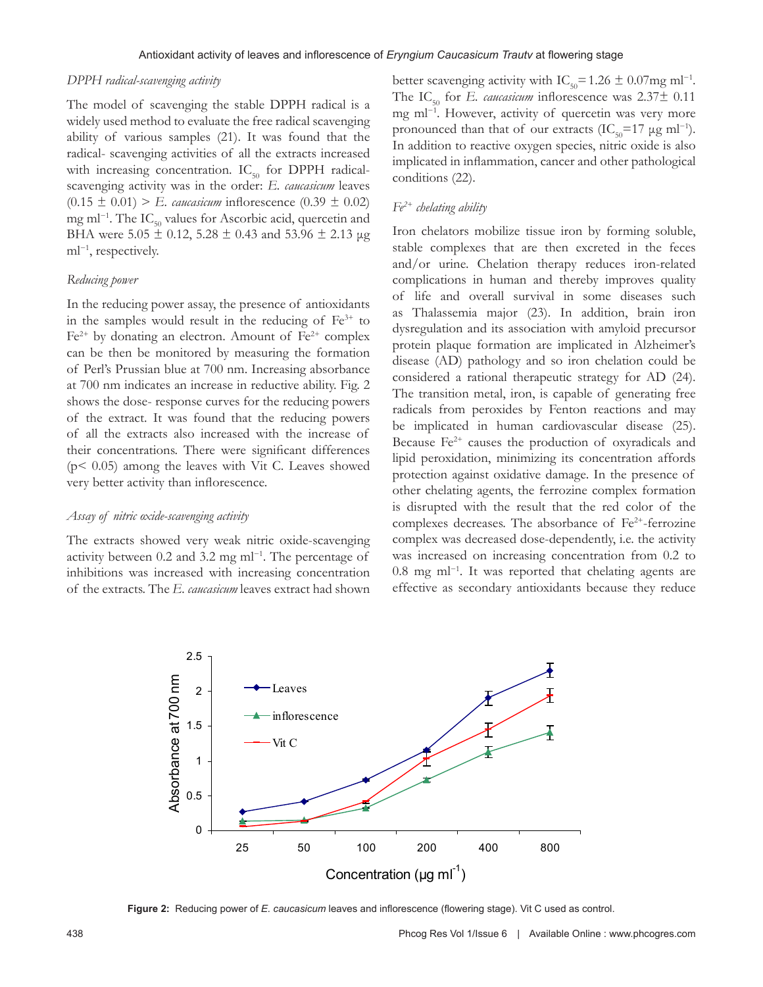#### *DPPH radical-scavenging activity*

The model of scavenging the stable DPPH radical is a widely used method to evaluate the free radical scavenging ability of various samples (21). It was found that the radical- scavenging activities of all the extracts increased with increasing concentration.  $IC_{50}$  for DPPH radicalscavenging activity was in the order: *E. caucasicum* leaves  $(0.15 \pm 0.01)$  > *E. caucasicum* inflorescence  $(0.39 \pm 0.02)$ mg ml<sup>-1</sup>. The IC<sub>50</sub> values for Ascorbic acid, quercetin and BHA were  $5.05 \pm 0.12$ ,  $5.28 \pm 0.43$  and  $53.96 \pm 2.13$  µg ml<sup>-1</sup>, respectively.

#### *Reducing power*

In the reducing power assay, the presence of antioxidants in the samples would result in the reducing of  $Fe<sup>3+</sup>$  to  $Fe<sup>2+</sup>$  by donating an electron. Amount of  $Fe<sup>2+</sup>$  complex can be then be monitored by measuring the formation of Perl's Prussian blue at 700 nm. Increasing absorbance at 700 nm indicates an increase in reductive ability. Fig. 2 shows the dose- response curves for the reducing powers of the extract. It was found that the reducing powers of all the extracts also increased with the increase of their concentrations. There were significant differences (p< 0.05) among the leaves with Vit C. Leaves showed very better activity than inflorescence.

#### *Assay of nitric oxide-scavenging activity*

The extracts showed very weak nitric oxide-scavenging activity between 0.2 and 3.2 mg ml−1. The percentage of inhibitions was increased with increasing concentration of the extracts. The *E. caucasicum* leaves extract had shown better scavenging activity with IC<sub>50</sub>=1.26 ± 0.07mg ml<sup>-1</sup>. The  $IC_{50}$  for *E. caucasicum* inflorescence was  $2.37\pm 0.11$ mg ml−1. However, activity of quercetin was very more pronounced than that of our extracts (IC<sub>50</sub>=17  $\mu$ g ml<sup>-1</sup>). In addition to reactive oxygen species, nitric oxide is also implicated in inflammation, cancer and other pathological conditions (22).

## *Fe2+ chelating ability*

Iron chelators mobilize tissue iron by forming soluble, stable complexes that are then excreted in the feces and/or urine. Chelation therapy reduces iron-related complications in human and thereby improves quality of life and overall survival in some diseases such as Thalassemia major (23). In addition, brain iron dysregulation and its association with amyloid precursor protein plaque formation are implicated in Alzheimer's disease (AD) pathology and so iron chelation could be considered a rational therapeutic strategy for AD (24). The transition metal, iron, is capable of generating free radicals from peroxides by Fenton reactions and may be implicated in human cardiovascular disease (25). Because  $Fe<sup>2+</sup>$  causes the production of oxyradicals and lipid peroxidation, minimizing its concentration affords protection against oxidative damage. In the presence of other chelating agents, the ferrozine complex formation is disrupted with the result that the red color of the complexes decreases. The absorbance of  $Fe<sup>2+</sup>$ -ferrozine complex was decreased dose-dependently, i.e. the activity was increased on increasing concentration from 0.2 to 0.8 mg ml−1. It was reported that chelating agents are effective as secondary antioxidants because they reduce



**Figure 2:** Reducing power of *E. caucasicum* leaves and inflorescence (flowering stage). Vit C used as control.